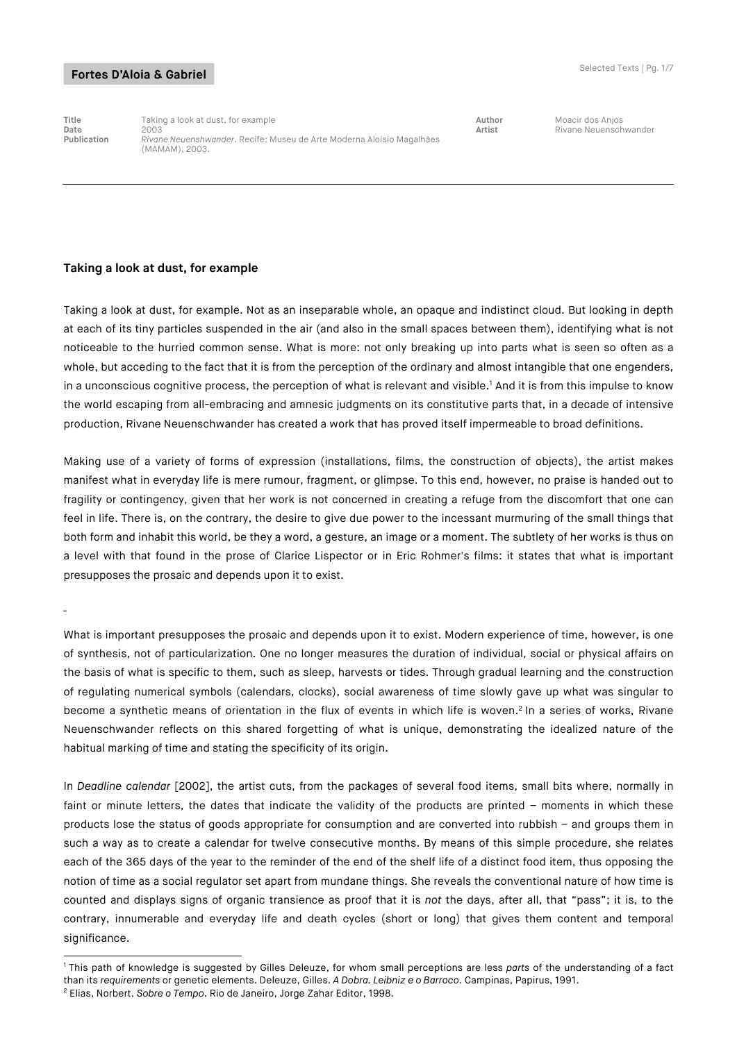¯

**Title** Taking a look at dust, for example **Author** Moacir dos Anjos **Date** 2003 **Artist** 2003 **Artist** 2003 **Artist** Rivane Neuenschwander<br>**Publication** *Rivane Neuenshwander*. Recife: Museu de Arte Moderna Aloísio Magalhães **Publication** *Rivane Neuenshwander*. Recife: Museu de Arte Moderna Aloísio Magalhães (MAMAM), 2003.

#### **Taking a look at dust, for example**

Taking a look at dust, for example. Not as an inseparable whole, an opaque and indistinct cloud. But looking in depth at each of its tiny particles suspended in the air (and also in the small spaces between them), identifying what is not noticeable to the hurried common sense. What is more: not only breaking up into parts what is seen so often as a whole, but acceding to the fact that it is from the perception of the ordinary and almost intangible that one engenders, in a unconscious cognitive process, the perception of what is relevant and visible.<sup>1</sup> And it is from this impulse to know the world escaping from all-embracing and amnesic judgments on its constitutive parts that, in a decade of intensive production, Rivane Neuenschwander has created a work that has proved itself impermeable to broad definitions.

Making use of a variety of forms of expression (installations, films, the construction of objects), the artist makes manifest what in everyday life is mere rumour, fragment, or glimpse. To this end, however, no praise is handed out to fragility or contingency, given that her work is not concerned in creating a refuge from the discomfort that one can feel in life. There is, on the contrary, the desire to give due power to the incessant murmuring of the small things that both form and inhabit this world, be they a word, a gesture, an image or a moment. The subtlety of her works is thus on a level with that found in the prose of Clarice Lispector or in Eric Rohmer's films: it states that what is important presupposes the prosaic and depends upon it to exist.

What is important presupposes the prosaic and depends upon it to exist. Modern experience of time, however, is one of synthesis, not of particularization. One no longer measures the duration of individual, social or physical affairs on the basis of what is specific to them, such as sleep, harvests or tides. Through gradual learning and the construction of regulating numerical symbols (calendars, clocks), social awareness of time slowly gave up what was singular to become a synthetic means of orientation in the flux of events in which life is woven.<sup>2</sup> In a series of works, Rivane Neuenschwander reflects on this shared forgetting of what is unique, demonstrating the idealized nature of the habitual marking of time and stating the specificity of its origin.

In *Deadline calendar* [2002], the artist cuts, from the packages of several food items, small bits where, normally in faint or minute letters, the dates that indicate the validity of the products are printed - moments in which these products lose the status of goods appropriate for consumption and are converted into rubbish – and groups them in such a way as to create a calendar for twelve consecutive months. By means of this simple procedure, she relates each of the 365 days of the year to the reminder of the end of the shelf life of a distinct food item, thus opposing the notion of time as a social regulator set apart from mundane things. She reveals the conventional nature of how time is counted and displays signs of organic transience as proof that it is *not* the days, after all, that "pass"; it is, to the contrary, innumerable and everyday life and death cycles (short or long) that gives them content and temporal significance.

<sup>-</sup><sup>1</sup> This path of knowledge is suggested by Gilles Deleuze, for whom small perceptions are less *parts* of the understanding of a fact than its *requirements* or genetic elements. Deleuze, Gilles. *A Dobra. Leibniz e o Barroco*. Campinas, Papirus, 1991.

<sup>2</sup> Elias, Norbert. *Sobre o Tempo*. Rio de Janeiro, Jorge Zahar Editor, 1998.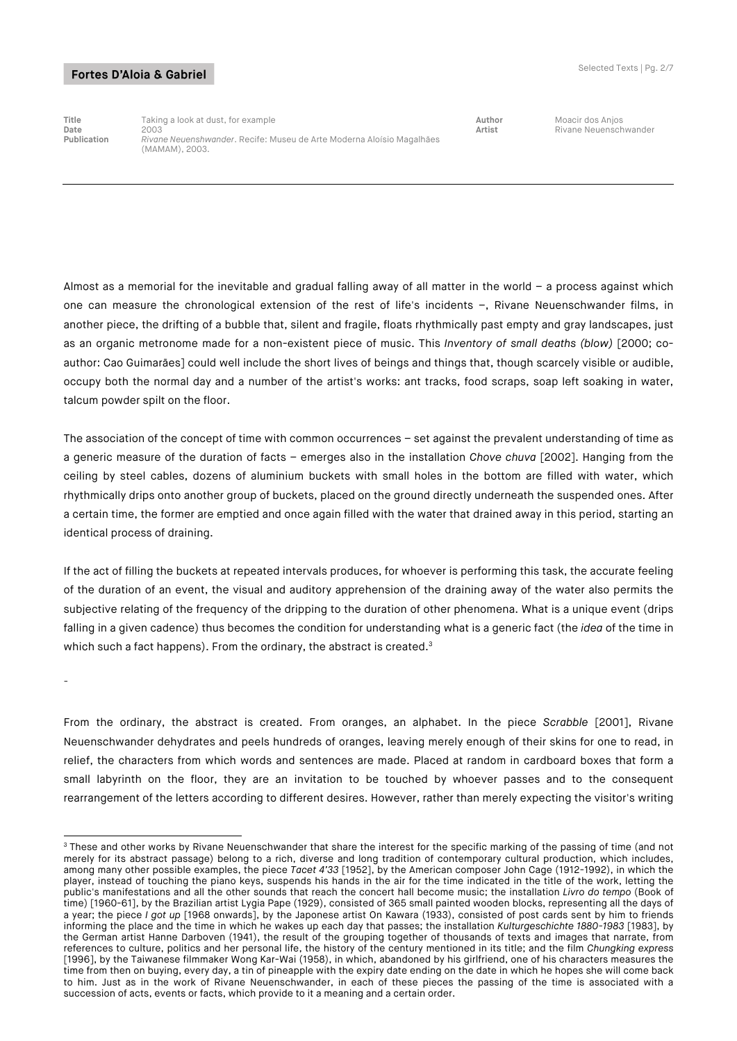¯

-

**Title** Taking a look at dust, for example **Author** Moacir dos Anjos **Date** 2003 **Artist** 2003 **Artist** 2003 **Artist** Rivane Neuenschwander<br>**Publication** *Rivane Neuenshwander*. Recife: Museu de Arte Moderna Aloísio Magalhães **Publication** *Rivane Neuenshwander*. Recife: Museu de Arte Moderna Aloísio Magalhães (MAMAM), 2003.

Almost as a memorial for the inevitable and gradual falling away of all matter in the world  $-$  a process against which one can measure the chronological extension of the rest of life's incidents –, Rivane Neuenschwander films, in another piece, the drifting of a bubble that, silent and fragile, floats rhythmically past empty and gray landscapes, just as an organic metronome made for a non-existent piece of music. This *Inventory of small deaths (blow)* [2000; coauthor: Cao Guimarães] could well include the short lives of beings and things that, though scarcely visible or audible, occupy both the normal day and a number of the artist's works: ant tracks, food scraps, soap left soaking in water, talcum powder spilt on the floor.

The association of the concept of time with common occurrences – set against the prevalent understanding of time as a generic measure of the duration of facts – emerges also in the installation *Chove chuva* [2002]. Hanging from the ceiling by steel cables, dozens of aluminium buckets with small holes in the bottom are filled with water, which rhythmically drips onto another group of buckets, placed on the ground directly underneath the suspended ones. After a certain time, the former are emptied and once again filled with the water that drained away in this period, starting an identical process of draining.

If the act of filling the buckets at repeated intervals produces, for whoever is performing this task, the accurate feeling of the duration of an event, the visual and auditory apprehension of the draining away of the water also permits the subjective relating of the frequency of the dripping to the duration of other phenomena. What is a unique event (drips falling in a given cadence) thus becomes the condition for understanding what is a generic fact (the *idea* of the time in which such a fact happens). From the ordinary, the abstract is created.<sup>3</sup>

From the ordinary, the abstract is created. From oranges, an alphabet. In the piece *Scrabble* [2001], Rivane Neuenschwander dehydrates and peels hundreds of oranges, leaving merely enough of their skins for one to read, in relief, the characters from which words and sentences are made. Placed at random in cardboard boxes that form a small labyrinth on the floor, they are an invitation to be touched by whoever passes and to the consequent rearrangement of the letters according to different desires. However, rather than merely expecting the visitor's writing

 $3$  These and other works by Rivane Neuenschwander that share the interest for the specific marking of the passing of time (and not merely for its abstract passage) belong to a rich, diverse and long tradition of contemporary cultural production, which includes, among many other possible examples, the piece *Tacet 4'33* [1952], by the American composer John Cage (1912-1992), in which the player, instead of touching the piano keys, suspends his hands in the air for the time indicated in the title of the work, letting the public's manifestations and all the other sounds that reach the concert hall become music; the installation *Livro do tempo* (Book of time) [1960-61], by the Brazilian artist Lygia Pape (1929), consisted of 365 small painted wooden blocks, representing all the days of a year; the piece *I got up* [1968 onwards], by the Japonese artist On Kawara (1933), consisted of post cards sent by him to friends informing the place and the time in which he wakes up each day that passes; the installation *Kulturgeschichte 1880-1983* [1983], by the German artist Hanne Darboven (1941), the result of the grouping together of thousands of texts and images that narrate, from references to culture, politics and her personal life, the history of the century mentioned in its title; and the film *Chungking express*  [1996], by the Taiwanese filmmaker Wong Kar-Wai (1958), in which, abandoned by his girlfriend, one of his characters measures the time from then on buying, every day, a tin of pineapple with the expiry date ending on the date in which he hopes she will come back to him. Just as in the work of Rivane Neuenschwander, in each of these pieces the passing of the time is associated with a succession of acts, events or facts, which provide to it a meaning and a certain order.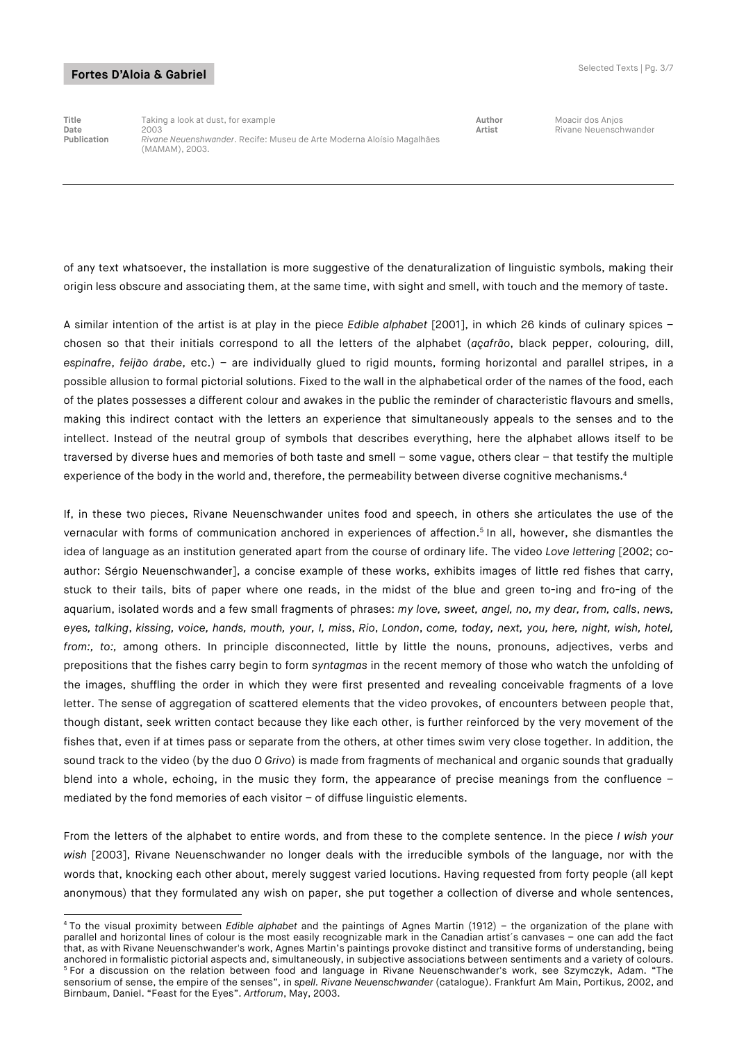-

**Title** Taking a look at dust, for example **Author** Moacir dos Anjos **Date** 2003 **Artist** 2003 **Artist** 2003 **Artist** Rivane Neuenschwander<br>**Publication** *Rivane Neuenshwander*. Recife: Museu de Arte Moderna Aloísio Magalhães **Publication** *Rivane Neuenshwander*. Recife: Museu de Arte Moderna Aloísio Magalhães (MAMAM), 2003.

of any text whatsoever, the installation is more suggestive of the denaturalization of linguistic symbols, making their origin less obscure and associating them, at the same time, with sight and smell, with touch and the memory of taste.

A similar intention of the artist is at play in the piece *Edible alphabet* [2001], in which 26 kinds of culinary spices – chosen so that their initials correspond to all the letters of the alphabet (*açafrão*, black pepper, colouring, dill, *espinafre*, *feijão árabe*, etc.) – are individually glued to rigid mounts, forming horizontal and parallel stripes, in a possible allusion to formal pictorial solutions. Fixed to the wall in the alphabetical order of the names of the food, each of the plates possesses a different colour and awakes in the public the reminder of characteristic flavours and smells, making this indirect contact with the letters an experience that simultaneously appeals to the senses and to the intellect. Instead of the neutral group of symbols that describes everything, here the alphabet allows itself to be traversed by diverse hues and memories of both taste and smell – some vague, others clear – that testify the multiple experience of the body in the world and, therefore, the permeability between diverse cognitive mechanisms.<sup>4</sup>

If, in these two pieces, Rivane Neuenschwander unites food and speech, in others she articulates the use of the vernacular with forms of communication anchored in experiences of affection. <sup>5</sup> In all, however, she dismantles the idea of language as an institution generated apart from the course of ordinary life. The video *Love lettering* [2002; coauthor: Sérgio Neuenschwander], a concise example of these works, exhibits images of little red fishes that carry, stuck to their tails, bits of paper where one reads, in the midst of the blue and green to-ing and fro-ing of the aquarium, isolated words and a few small fragments of phrases: *my love, sweet, angel, no, my dear, from, calls*, *news, eyes, talking*, *kissing, voice, hands, mouth, your, I, miss*, *Rio*, *London*, *come, today, next, you, here, night, wish, hotel, from:, to:,* among others. In principle disconnected, little by little the nouns, pronouns, adjectives, verbs and prepositions that the fishes carry begin to form *syntagmas* in the recent memory of those who watch the unfolding of the images, shuffling the order in which they were first presented and revealing conceivable fragments of a love letter. The sense of aggregation of scattered elements that the video provokes, of encounters between people that, though distant, seek written contact because they like each other, is further reinforced by the very movement of the fishes that, even if at times pass or separate from the others, at other times swim very close together. In addition, the sound track to the video (by the duo *O Grivo*) is made from fragments of mechanical and organic sounds that gradually blend into a whole, echoing, in the music they form, the appearance of precise meanings from the confluence – mediated by the fond memories of each visitor – of diffuse linguistic elements.

From the letters of the alphabet to entire words, and from these to the complete sentence. In the piece *I wish your wish* [2003], Rivane Neuenschwander no longer deals with the irreducible symbols of the language, nor with the words that, knocking each other about, merely suggest varied locutions. Having requested from forty people (all kept anonymous) that they formulated any wish on paper, she put together a collection of diverse and whole sentences,

<sup>4</sup> To the visual proximity between *Edible alphabet* and the paintings of Agnes Martin (1912) – the organization of the plane with parallel and horizontal lines of colour is the most easily recognizable mark in the Canadian artist´s canvases – one can add the fact that, as with Rivane Neuenschwander's work, Agnes Martin's paintings provoke distinct and transitive forms of understanding, being anchored in formalistic pictorial aspects and, simultaneously, in subjective associations between sentiments and a variety of colours. <sup>5</sup> For a discussion on the relation between food and language in Rivane Neuenschwander's work, see Szymczyk, Adam. "The sensorium of sense, the empire of the senses", in *spell. Rivane Neuenschwander* (catalogue). Frankfurt Am Main, Portikus, 2002, and Birnbaum, Daniel. "Feast for the Eyes". *Artforum*, May, 2003.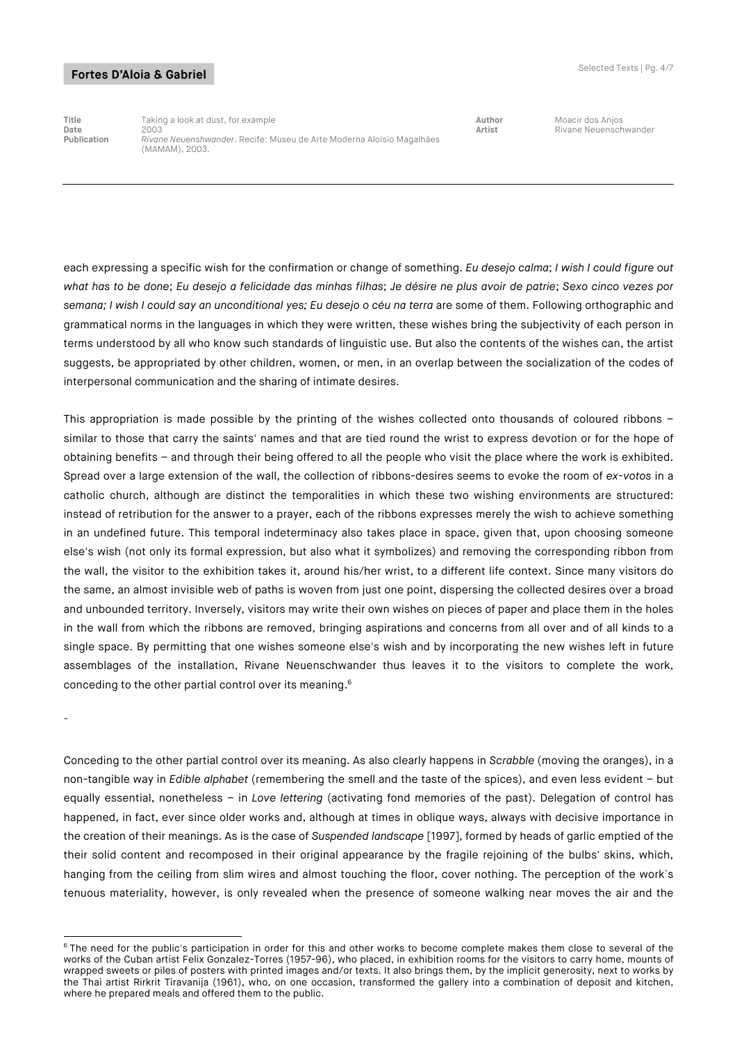**Title** Taking a look at dust, for example **Author** Moacir dos Anjos **Date** 2003 **Artist** 2003 **Artist** 2003 **Artist** Rivane Neuenschwander<br>**Publication** *Rivane Neuenshwander*. Recife: Museu de Arte Moderna Aloísio Magalhães **Publication** *Rivane Neuenshwander*. Recife: Museu de Arte Moderna Aloísio Magalhães (MAMAM), 2003.

each expressing a specific wish for the confirmation or change of something. *Eu desejo calma*; *I wish I could figure out what has to be done*; *Eu desejo a felicidade das minhas filhas*; *Je désire ne plus avoir de patrie*; *Sexo cinco vezes por semana; I wish I could say an unconditional yes; Eu desejo o céu na terra* are some of them. Following orthographic and grammatical norms in the languages in which they were written, these wishes bring the subjectivity of each person in terms understood by all who know such standards of linguistic use. But also the contents of the wishes can, the artist suggests, be appropriated by other children, women, or men, in an overlap between the socialization of the codes of interpersonal communication and the sharing of intimate desires.

This appropriation is made possible by the printing of the wishes collected onto thousands of coloured ribbons – similar to those that carry the saints' names and that are tied round the wrist to express devotion or for the hope of obtaining benefits – and through their being offered to all the people who visit the place where the work is exhibited. Spread over a large extension of the wall, the collection of ribbons-desires seems to evoke the room of *ex-votos* in a catholic church, although are distinct the temporalities in which these two wishing environments are structured: instead of retribution for the answer to a prayer, each of the ribbons expresses merely the wish to achieve something in an undefined future. This temporal indeterminacy also takes place in space, given that, upon choosing someone else's wish (not only its formal expression, but also what it symbolizes) and removing the corresponding ribbon from the wall, the visitor to the exhibition takes it, around his/her wrist, to a different life context. Since many visitors do the same, an almost invisible web of paths is woven from just one point, dispersing the collected desires over a broad and unbounded territory. Inversely, visitors may write their own wishes on pieces of paper and place them in the holes in the wall from which the ribbons are removed, bringing aspirations and concerns from all over and of all kinds to a single space. By permitting that one wishes someone else's wish and by incorporating the new wishes left in future assemblages of the installation, Rivane Neuenschwander thus leaves it to the visitors to complete the work, conceding to the other partial control over its meaning.6

¯

-

Conceding to the other partial control over its meaning. As also clearly happens in *Scrabble* (moving the oranges), in a non-tangible way in *Edible alphabet* (remembering the smell and the taste of the spices), and even less evident – but equally essential, nonetheless – in *Love lettering* (activating fond memories of the past). Delegation of control has happened, in fact, ever since older works and, although at times in oblique ways, always with decisive importance in the creation of their meanings. As is the case of *Suspended landscape* [1997], formed by heads of garlic emptied of the their solid content and recomposed in their original appearance by the fragile rejoining of the bulbs' skins, which, hanging from the ceiling from slim wires and almost touching the floor, cover nothing. The perception of the work´s tenuous materiality, however, is only revealed when the presence of someone walking near moves the air and the

<sup>&</sup>lt;sup>6</sup> The need for the public's participation in order for this and other works to become complete makes them close to several of the works of the Cuban artist Felix Gonzalez-Torres (1957-96), who placed, in exhibition rooms for the visitors to carry home, mounts of wrapped sweets or piles of posters with printed images and/or texts. It also brings them, by the implicit generosity, next to works by the Thai artist Rirkrit Tiravanija (1961), who, on one occasion, transformed the gallery into a combination of deposit and kitchen, where he prepared meals and offered them to the public.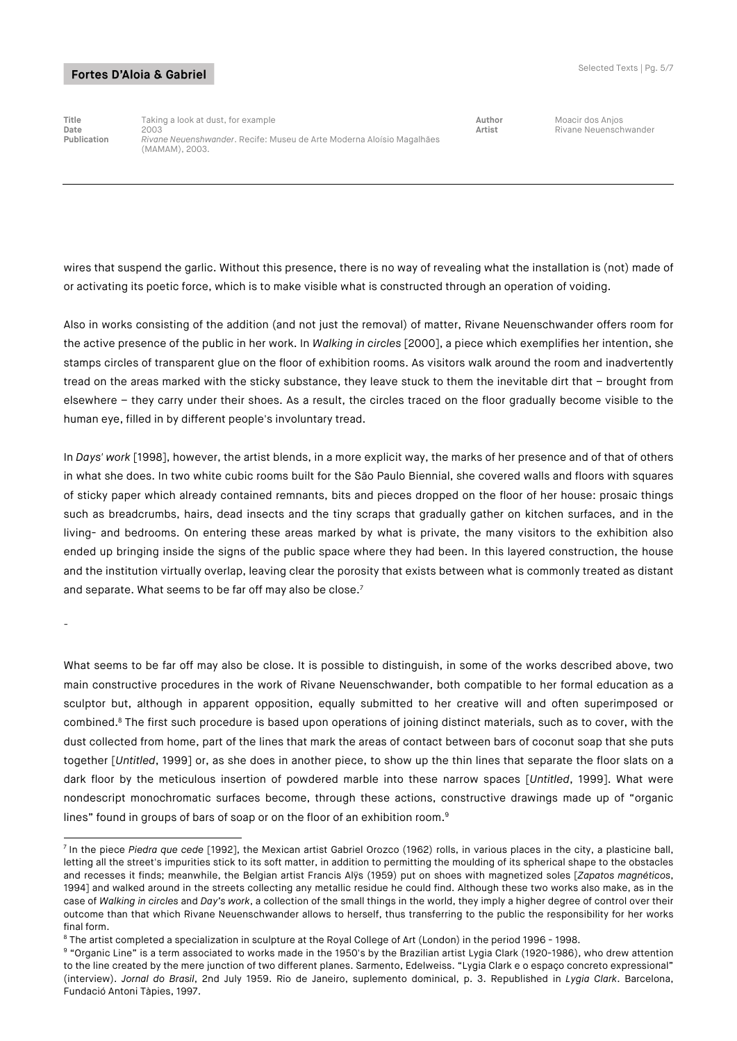¯

**Title** Taking a look at dust, for example **Author** Moacir dos Anjos **Date** 2003 **Artist** 2003 **Artist** 2003 **Artist** Rivane Neuenschwander<br>**Publication** *Rivane Neuenshwander*. Recife: Museu de Arte Moderna Aloísio Magalhães **Publication** *Rivane Neuenshwander*. Recife: Museu de Arte Moderna Aloísio Magalhães (MAMAM), 2003.

wires that suspend the garlic. Without this presence, there is no way of revealing what the installation is (not) made of or activating its poetic force, which is to make visible what is constructed through an operation of voiding.

Also in works consisting of the addition (and not just the removal) of matter, Rivane Neuenschwander offers room for the active presence of the public in her work. In *Walking in circles* [2000], a piece which exemplifies her intention, she stamps circles of transparent glue on the floor of exhibition rooms. As visitors walk around the room and inadvertently tread on the areas marked with the sticky substance, they leave stuck to them the inevitable dirt that – brought from elsewhere – they carry under their shoes. As a result, the circles traced on the floor gradually become visible to the human eye, filled in by different people's involuntary tread.

In *Days' work* [1998], however, the artist blends, in a more explicit way, the marks of her presence and of that of others in what she does. In two white cubic rooms built for the São Paulo Biennial, she covered walls and floors with squares of sticky paper which already contained remnants, bits and pieces dropped on the floor of her house: prosaic things such as breadcrumbs, hairs, dead insects and the tiny scraps that gradually gather on kitchen surfaces, and in the living- and bedrooms. On entering these areas marked by what is private, the many visitors to the exhibition also ended up bringing inside the signs of the public space where they had been. In this layered construction, the house and the institution virtually overlap, leaving clear the porosity that exists between what is commonly treated as distant and separate. What seems to be far off may also be close.<sup>7</sup>

What seems to be far off may also be close. It is possible to distinguish, in some of the works described above, two main constructive procedures in the work of Rivane Neuenschwander, both compatible to her formal education as a sculptor but, although in apparent opposition, equally submitted to her creative will and often superimposed or combined.<sup>8</sup> The first such procedure is based upon operations of joining distinct materials, such as to cover, with the dust collected from home, part of the lines that mark the areas of contact between bars of coconut soap that she puts together [*Untitled*, 1999] or, as she does in another piece, to show up the thin lines that separate the floor slats on a dark floor by the meticulous insertion of powdered marble into these narrow spaces [*Untitled*, 1999]. What were nondescript monochromatic surfaces become, through these actions, constructive drawings made up of "organic lines" found in groups of bars of soap or on the floor of an exhibition room.<sup>9</sup>

<sup>-</sup><sup>7</sup> In the piece *Piedra que cede* [1992], the Mexican artist Gabriel Orozco (1962) rolls, in various places in the city, a plasticine ball, letting all the street's impurities stick to its soft matter, in addition to permitting the moulding of its spherical shape to the obstacles and recesses it finds; meanwhile, the Belgian artist Francis Alÿs (1959) put on shoes with magnetized soles [*Zapatos magnéticos*, 1994] and walked around in the streets collecting any metallic residue he could find. Although these two works also make, as in the case of *Walking in circles* and *Day's work*, a collection of the small things in the world, they imply a higher degree of control over their outcome than that which Rivane Neuenschwander allows to herself, thus transferring to the public the responsibility for her works final form.

<sup>8</sup> The artist completed a specialization in sculpture at the Royal College of Art (London) in the period 1996 - 1998.

<sup>&</sup>lt;sup>9</sup> "Organic Line" is a term associated to works made in the 1950's by the Brazilian artist Lygia Clark (1920-1986), who drew attention to the line created by the mere junction of two different planes. Sarmento, Edelweiss. "Lygia Clark e o espaço concreto expressional" (interview). *Jornal do Brasil*, 2nd July 1959. Rio de Janeiro, suplemento dominical, p. 3. Republished in *Lygia Clark*. Barcelona, Fundació Antoni Tàpies, 1997.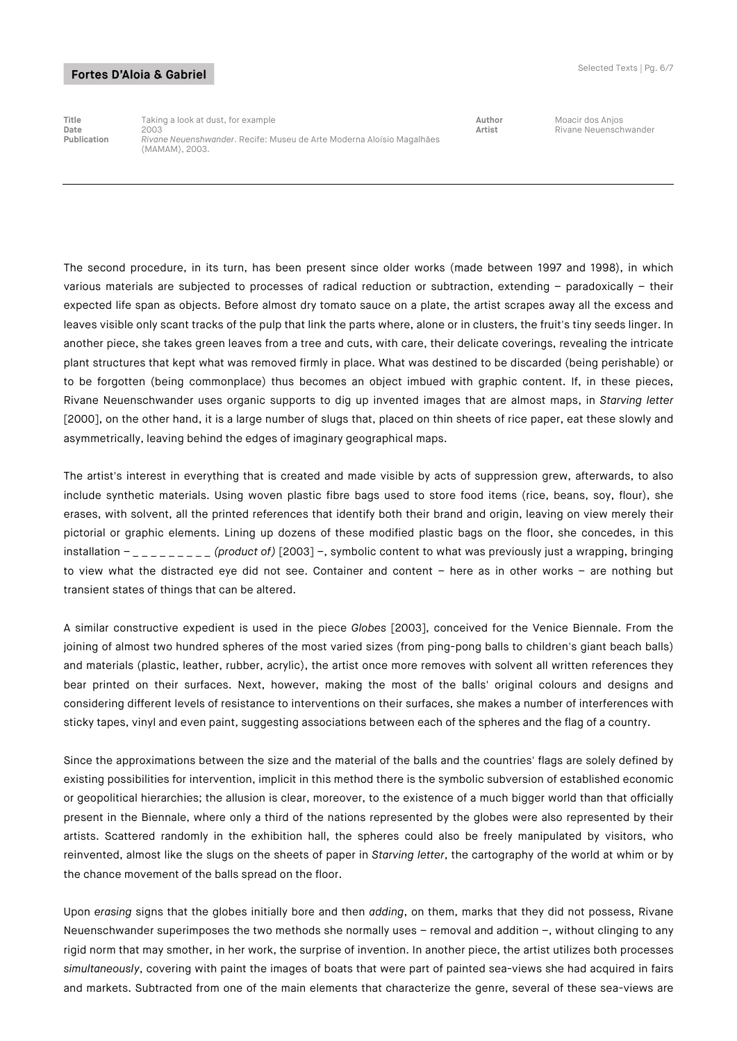**Title** Taking a look at dust, for example **Author** Moacir dos Anjos **Date** 2003 **Artist** 2003 **Artist** 2003 **Artist** Rivane Neuenschwander<br>**Publication** *Rivane Neuenshwander*. Recife: Museu de Arte Moderna Aloísio Magalhães **Publication** *Rivane Neuenshwander*. Recife: Museu de Arte Moderna Aloísio Magalhães (MAMAM), 2003.

The second procedure, in its turn, has been present since older works (made between 1997 and 1998), in which various materials are subjected to processes of radical reduction or subtraction, extending – paradoxically – their expected life span as objects. Before almost dry tomato sauce on a plate, the artist scrapes away all the excess and leaves visible only scant tracks of the pulp that link the parts where, alone or in clusters, the fruit's tiny seeds linger. In another piece, she takes green leaves from a tree and cuts, with care, their delicate coverings, revealing the intricate plant structures that kept what was removed firmly in place. What was destined to be discarded (being perishable) or to be forgotten (being commonplace) thus becomes an object imbued with graphic content. If, in these pieces, Rivane Neuenschwander uses organic supports to dig up invented images that are almost maps, in *Starving letter* [2000], on the other hand, it is a large number of slugs that, placed on thin sheets of rice paper, eat these slowly and asymmetrically, leaving behind the edges of imaginary geographical maps.

The artist's interest in everything that is created and made visible by acts of suppression grew, afterwards, to also include synthetic materials. Using woven plastic fibre bags used to store food items (rice, beans, soy, flour), she erases, with solvent, all the printed references that identify both their brand and origin, leaving on view merely their pictorial or graphic elements. Lining up dozens of these modified plastic bags on the floor, she concedes, in this installation – *\_ \_ \_ \_ \_ \_ \_ \_ \_ (product of)* [2003] –, symbolic content to what was previously just a wrapping, bringing to view what the distracted eye did not see. Container and content – here as in other works – are nothing but transient states of things that can be altered.

A similar constructive expedient is used in the piece *Globes* [2003], conceived for the Venice Biennale. From the joining of almost two hundred spheres of the most varied sizes (from ping-pong balls to children's giant beach balls) and materials (plastic, leather, rubber, acrylic), the artist once more removes with solvent all written references they bear printed on their surfaces. Next, however, making the most of the balls' original colours and designs and considering different levels of resistance to interventions on their surfaces, she makes a number of interferences with sticky tapes, vinyl and even paint, suggesting associations between each of the spheres and the flag of a country.

Since the approximations between the size and the material of the balls and the countries' flags are solely defined by existing possibilities for intervention, implicit in this method there is the symbolic subversion of established economic or geopolitical hierarchies; the allusion is clear, moreover, to the existence of a much bigger world than that officially present in the Biennale, where only a third of the nations represented by the globes were also represented by their artists. Scattered randomly in the exhibition hall, the spheres could also be freely manipulated by visitors, who reinvented, almost like the slugs on the sheets of paper in *Starving letter*, the cartography of the world at whim or by the chance movement of the balls spread on the floor.

Upon *erasing* signs that the globes initially bore and then *adding*, on them, marks that they did not possess, Rivane Neuenschwander superimposes the two methods she normally uses – removal and addition –, without clinging to any rigid norm that may smother, in her work, the surprise of invention. In another piece, the artist utilizes both processes *simultaneously*, covering with paint the images of boats that were part of painted sea-views she had acquired in fairs and markets. Subtracted from one of the main elements that characterize the genre, several of these sea-views are